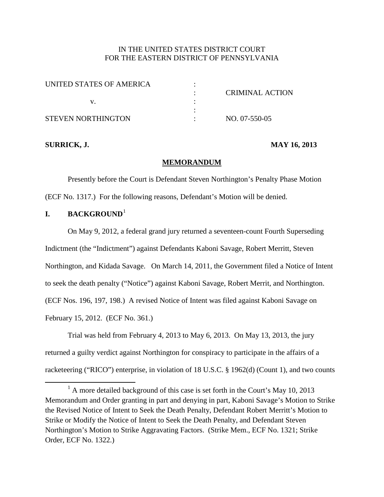# IN THE UNITED STATES DISTRICT COURT FOR THE EASTERN DISTRICT OF PENNSYLVANIA

| UNITED STATES OF AMERICA |                 |
|--------------------------|-----------------|
|                          | CRIMINAL ACTION |
|                          |                 |
|                          |                 |
| STEVEN NORTHINGTON       | NO. 07-550-05   |

# **SURRICK, J. MAY 16, 2013**

## **MEMORANDUM**

Presently before the Court is Defendant Steven Northington's Penalty Phase Motion (ECF No. 1317.) For the following reasons, Defendant's Motion will be denied.

## **I. BACKGROUND**[1](#page-13-0)

On May 9, 2012, a federal grand jury returned a seventeen-count Fourth Superseding Indictment (the "Indictment") against Defendants Kaboni Savage, Robert Merritt, Steven Northington, and Kidada Savage. On March 14, 2011, the Government filed a Notice of Intent to seek the death penalty ("Notice") against Kaboni Savage, Robert Merrit, and Northington. (ECF Nos. 196, 197, 198.) A revised Notice of Intent was filed against Kaboni Savage on February 15, 2012. (ECF No. 361.)

Trial was held from February 4, 2013 to May 6, 2013. On May 13, 2013, the jury returned a guilty verdict against Northington for conspiracy to participate in the affairs of a racketeering ("RICO") enterprise, in violation of 18 U.S.C. § 1962(d) (Count 1), and two counts

<span id="page-0-0"></span> $<sup>1</sup>$  A more detailed background of this case is set forth in the Court's May 10, 2013</sup> Memorandum and Order granting in part and denying in part, Kaboni Savage's Motion to Strike the Revised Notice of Intent to Seek the Death Penalty, Defendant Robert Merritt's Motion to Strike or Modify the Notice of Intent to Seek the Death Penalty, and Defendant Steven Northington's Motion to Strike Aggravating Factors. (Strike Mem., ECF No. 1321; Strike Order, ECF No. 1322.)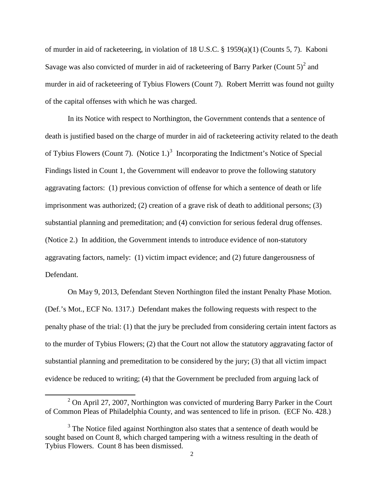of murder in aid of racketeering, in violation of 18 U.S.C. § 1959(a)(1) (Counts 5, 7). Kaboni Savage was also convicted of murder in aid of racketeering of Barry Parker (Count  $5)^2$  $5)^2$  and murder in aid of racketeering of Tybius Flowers (Count 7). Robert Merritt was found not guilty of the capital offenses with which he was charged.

In its Notice with respect to Northington, the Government contends that a sentence of death is justified based on the charge of murder in aid of racketeering activity related to the death of Tybius Flowers (Count 7). (Notice 1.)<sup>[3](#page-1-0)</sup> Incorporating the Indictment's Notice of Special Findings listed in Count 1, the Government will endeavor to prove the following statutory aggravating factors: (1) previous conviction of offense for which a sentence of death or life imprisonment was authorized; (2) creation of a grave risk of death to additional persons; (3) substantial planning and premeditation; and (4) conviction for serious federal drug offenses. (Notice 2.) In addition, the Government intends to introduce evidence of non-statutory aggravating factors, namely: (1) victim impact evidence; and (2) future dangerousness of Defendant.

On May 9, 2013, Defendant Steven Northington filed the instant Penalty Phase Motion. (Def.'s Mot., ECF No. 1317.) Defendant makes the following requests with respect to the penalty phase of the trial: (1) that the jury be precluded from considering certain intent factors as to the murder of Tybius Flowers; (2) that the Court not allow the statutory aggravating factor of substantial planning and premeditation to be considered by the jury; (3) that all victim impact evidence be reduced to writing; (4) that the Government be precluded from arguing lack of

<span id="page-1-1"></span> $2$  On April 27, 2007, Northington was convicted of murdering Barry Parker in the Court of Common Pleas of Philadelphia County, and was sentenced to life in prison. (ECF No. 428.)

<span id="page-1-0"></span> $3$  The Notice filed against Northington also states that a sentence of death would be sought based on Count 8, which charged tampering with a witness resulting in the death of Tybius Flowers. Count 8 has been dismissed.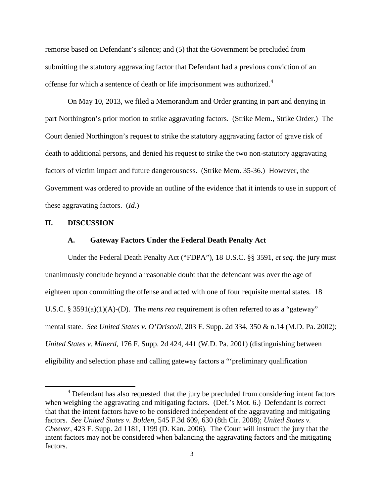remorse based on Defendant's silence; and (5) that the Government be precluded from submitting the statutory aggravating factor that Defendant had a previous conviction of an offense for which a sentence of death or life imprisonment was authorized.<sup>[4](#page-1-1)</sup>

On May 10, 2013, we filed a Memorandum and Order granting in part and denying in part Northington's prior motion to strike aggravating factors. (Strike Mem., Strike Order.) The Court denied Northington's request to strike the statutory aggravating factor of grave risk of death to additional persons, and denied his request to strike the two non-statutory aggravating factors of victim impact and future dangerousness. (Strike Mem. 35-36.) However, the Government was ordered to provide an outline of the evidence that it intends to use in support of these aggravating factors. (*Id*.)

### **II. DISCUSSION**

### **A. Gateway Factors Under the Federal Death Penalty Act**

Under the Federal Death Penalty Act ("FDPA"), 18 U.S.C. §§ 3591, *et seq*. the jury must unanimously conclude beyond a reasonable doubt that the defendant was over the age of eighteen upon committing the offense and acted with one of four requisite mental states. 18 U.S.C. § 3591(a)(1)(A)-(D). The *mens rea* requirement is often referred to as a "gateway" mental state. *See United States v. O'Driscoll*, 203 F. Supp. 2d 334, 350 & n.14 (M.D. Pa. 2002); *United States v. Minerd*, 176 F. Supp. 2d 424, 441 (W.D. Pa. 2001) (distinguishing between eligibility and selection phase and calling gateway factors a "'preliminary qualification

<span id="page-2-0"></span><sup>&</sup>lt;sup>4</sup> Defendant has also requested that the jury be precluded from considering intent factors when weighing the aggravating and mitigating factors. (Def.'s Mot. 6.) Defendant is correct that that the intent factors have to be considered independent of the aggravating and mitigating factors. *See United States v. Bolden*, 545 F.3d 609, 630 (8th Cir. 2008); *United States v. Cheever*, 423 F. Supp. 2d 1181, 1199 (D. Kan. 2006). The Court will instruct the jury that the intent factors may not be considered when balancing the aggravating factors and the mitigating factors.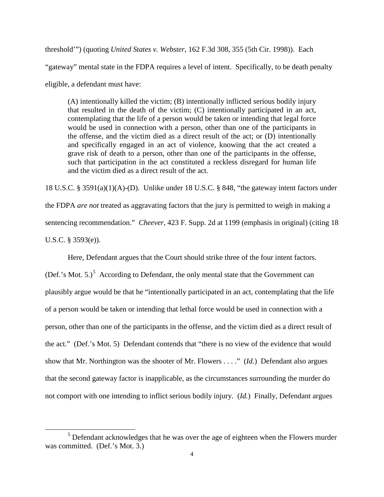threshold'") (quoting *United States v. Webster*, 162 F.3d 308, 355 (5th Cir. 1998)). Each "gateway" mental state in the FDPA requires a level of intent. Specifically, to be death penalty eligible, a defendant must have:

(A) intentionally killed the victim; (B) intentionally inflicted serious bodily injury that resulted in the death of the victim; (C) intentionally participated in an act, contemplating that the life of a person would be taken or intending that legal force would be used in connection with a person, other than one of the participants in the offense, and the victim died as a direct result of the act; or (D) intentionally and specifically engaged in an act of violence, knowing that the act created a grave risk of death to a person, other than one of the participants in the offense, such that participation in the act constituted a reckless disregard for human life and the victim died as a direct result of the act.

18 U.S.C. § 3591(a)(1)(A)-(D). Unlike under 18 U.S.C. § 848, "the gateway intent factors under

the FDPA *are not* treated as aggravating factors that the jury is permitted to weigh in making a

sentencing recommendation." *Cheever*, 423 F. Supp. 2d at 1199 (emphasis in original) (citing 18

U.S.C. § 3593(e)).

Here, Defendant argues that the Court should strike three of the four intent factors.

(Def.'s Mot. [5](#page-2-0).)<sup>5</sup> According to Defendant, the only mental state that the Government can plausibly argue would be that he "intentionally participated in an act, contemplating that the life of a person would be taken or intending that lethal force would be used in connection with a person, other than one of the participants in the offense, and the victim died as a direct result of the act." (Def.'s Mot. 5) Defendant contends that "there is no view of the evidence that would show that Mr. Northington was the shooter of Mr. Flowers . . . ." (*Id.*) Defendant also argues that the second gateway factor is inapplicable, as the circumstances surrounding the murder do not comport with one intending to inflict serious bodily injury. (*Id.*) Finally, Defendant argues

<span id="page-3-0"></span><sup>&</sup>lt;sup>5</sup> Defendant acknowledges that he was over the age of eighteen when the Flowers murder was committed. (Def.'s Mot. 3.)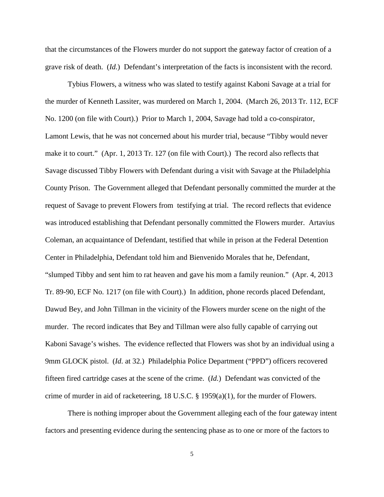that the circumstances of the Flowers murder do not support the gateway factor of creation of a grave risk of death. (*Id.*) Defendant's interpretation of the facts is inconsistent with the record.

Tybius Flowers, a witness who was slated to testify against Kaboni Savage at a trial for the murder of Kenneth Lassiter, was murdered on March 1, 2004. (March 26, 2013 Tr. 112, ECF No. 1200 (on file with Court).) Prior to March 1, 2004, Savage had told a co-conspirator, Lamont Lewis, that he was not concerned about his murder trial, because "Tibby would never make it to court." (Apr. 1, 2013 Tr. 127 (on file with Court).) The record also reflects that Savage discussed Tibby Flowers with Defendant during a visit with Savage at the Philadelphia County Prison. The Government alleged that Defendant personally committed the murder at the request of Savage to prevent Flowers from testifying at trial. The record reflects that evidence was introduced establishing that Defendant personally committed the Flowers murder. Artavius Coleman, an acquaintance of Defendant, testified that while in prison at the Federal Detention Center in Philadelphia, Defendant told him and Bienvenido Morales that he, Defendant, "slumped Tibby and sent him to rat heaven and gave his mom a family reunion." (Apr. 4, 2013 Tr. 89-90, ECF No. 1217 (on file with Court).) In addition, phone records placed Defendant, Dawud Bey, and John Tillman in the vicinity of the Flowers murder scene on the night of the murder. The record indicates that Bey and Tillman were also fully capable of carrying out Kaboni Savage's wishes. The evidence reflected that Flowers was shot by an individual using a 9mm GLOCK pistol. (*Id.* at 32.) Philadelphia Police Department ("PPD") officers recovered fifteen fired cartridge cases at the scene of the crime. (*Id.*) Defendant was convicted of the crime of murder in aid of racketeering, 18 U.S.C. § 1959(a)(1), for the murder of Flowers.

There is nothing improper about the Government alleging each of the four gateway intent factors and presenting evidence during the sentencing phase as to one or more of the factors to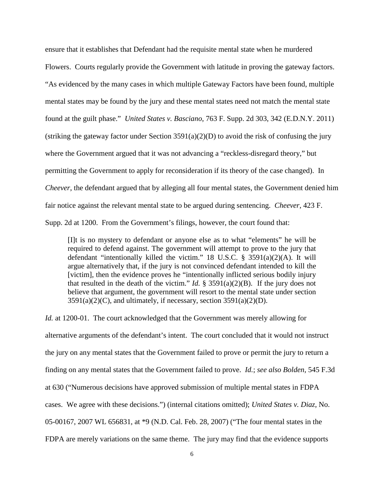ensure that it establishes that Defendant had the requisite mental state when he murdered Flowers. Courts regularly provide the Government with latitude in proving the gateway factors. "As evidenced by the many cases in which multiple Gateway Factors have been found, multiple mental states may be found by the jury and these mental states need not match the mental state found at the guilt phase." *United States v. Basciano*, 763 F. Supp. 2d 303, 342 (E.D.N.Y. 2011) (striking the gateway factor under Section  $3591(a)(2)(D)$  to avoid the risk of confusing the jury where the Government argued that it was not advancing a "reckless-disregard theory," but permitting the Government to apply for reconsideration if its theory of the case changed). In *Cheever*, the defendant argued that by alleging all four mental states, the Government denied him fair notice against the relevant mental state to be argued during sentencing. *Cheever*, 423 F. Supp. 2d at 1200. From the Government's filings, however, the court found that:

[I]t is no mystery to defendant or anyone else as to what "elements" he will be required to defend against. The government will attempt to prove to the jury that defendant "intentionally killed the victim." 18 U.S.C.  $\S$  3591(a)(2)(A). It will argue alternatively that, if the jury is not convinced defendant intended to kill the [victim], then the evidence proves he "intentionally inflicted serious bodily injury that resulted in the death of the victim." *Id.*  $\S$  3591(a)(2)(B). If the jury does not believe that argument, the government will resort to the mental state under section  $3591(a)(2)(C)$ , and ultimately, if necessary, section  $3591(a)(2)(D)$ .

*Id.* at 1200-01. The court acknowledged that the Government was merely allowing for alternative arguments of the defendant's intent. The court concluded that it would not instruct the jury on any mental states that the Government failed to prove or permit the jury to return a finding on any mental states that the Government failed to prove. *Id.*; *see also Bolden*, 545 F.3d at 630 ("Numerous decisions have approved submission of multiple mental states in FDPA cases. We agree with these decisions.") (internal citations omitted); *United States v. Diaz*, No. 05-00167, 2007 WL 656831, at \*9 (N.D. Cal. Feb. 28, 2007) ("The four mental states in the FDPA are merely variations on the same theme. The jury may find that the evidence supports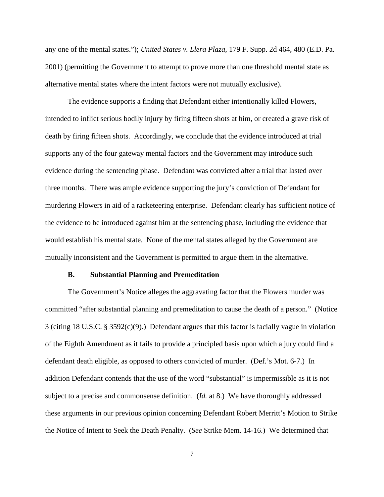any one of the mental states."); *United States v. Llera Plaza*, 179 F. Supp. 2d 464, 480 (E.D. Pa. 2001) (permitting the Government to attempt to prove more than one threshold mental state as alternative mental states where the intent factors were not mutually exclusive).

The evidence supports a finding that Defendant either intentionally killed Flowers, intended to inflict serious bodily injury by firing fifteen shots at him, or created a grave risk of death by firing fifteen shots. Accordingly, we conclude that the evidence introduced at trial supports any of the four gateway mental factors and the Government may introduce such evidence during the sentencing phase.Defendant was convicted after a trial that lasted over three months. There was ample evidence supporting the jury's conviction of Defendant for murdering Flowers in aid of a racketeering enterprise. Defendant clearly has sufficient notice of the evidence to be introduced against him at the sentencing phase, including the evidence that would establish his mental state. None of the mental states alleged by the Government are mutually inconsistent and the Government is permitted to argue them in the alternative.

#### **B. Substantial Planning and Premeditation**

The Government's Notice alleges the aggravating factor that the Flowers murder was committed "after substantial planning and premeditation to cause the death of a person." (Notice 3 (citing 18 U.S.C. § 3592(c)(9).) Defendant argues that this factor is facially vague in violation of the Eighth Amendment as it fails to provide a principled basis upon which a jury could find a defendant death eligible, as opposed to others convicted of murder. (Def.'s Mot. 6-7.) In addition Defendant contends that the use of the word "substantial" is impermissible as it is not subject to a precise and commonsense definition. (*Id.* at 8.) We have thoroughly addressed these arguments in our previous opinion concerning Defendant Robert Merritt's Motion to Strike the Notice of Intent to Seek the Death Penalty. (*See* Strike Mem. 14-16.) We determined that

7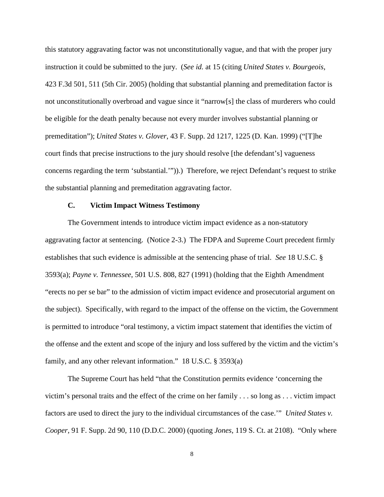this statutory aggravating factor was not unconstitutionally vague, and that with the proper jury instruction it could be submitted to the jury. (*See id.* at 15 (citing *United States v. Bourgeois*, 423 F.3d 501, 511 (5th Cir. 2005) (holding that substantial planning and premeditation factor is not unconstitutionally overbroad and vague since it "narrow[s] the class of murderers who could be eligible for the death penalty because not every murder involves substantial planning or premeditation"); *United States v. Glover*, 43 F. Supp. 2d 1217, 1225 (D. Kan. 1999) ("[T]he court finds that precise instructions to the jury should resolve [the defendant's] vagueness concerns regarding the term 'substantial.'")).) Therefore, we reject Defendant's request to strike the substantial planning and premeditation aggravating factor.

## **C. Victim Impact Witness Testimony**

The Government intends to introduce victim impact evidence as a non-statutory aggravating factor at sentencing. (Notice 2-3.) The FDPA and Supreme Court precedent firmly establishes that such evidence is admissible at the sentencing phase of trial. *See* 18 U.S.C. § 3593(a); *Payne v. Tennessee*, 501 U.S. 808, 827 (1991) (holding that the Eighth Amendment "erects no per se bar" to the admission of victim impact evidence and prosecutorial argument on the subject). Specifically, with regard to the impact of the offense on the victim, the Government is permitted to introduce "oral testimony, a victim impact statement that identifies the victim of the offense and the extent and scope of the injury and loss suffered by the victim and the victim's family, and any other relevant information." 18 U.S.C. § 3593(a)

The Supreme Court has held "that the Constitution permits evidence 'concerning the victim's personal traits and the effect of the crime on her family . . . so long as . . . victim impact factors are used to direct the jury to the individual circumstances of the case.'" *United States v. Cooper*, 91 F. Supp. 2d 90, 110 (D.D.C. 2000) (quoting *Jones*, 119 S. Ct. at 2108). "Only where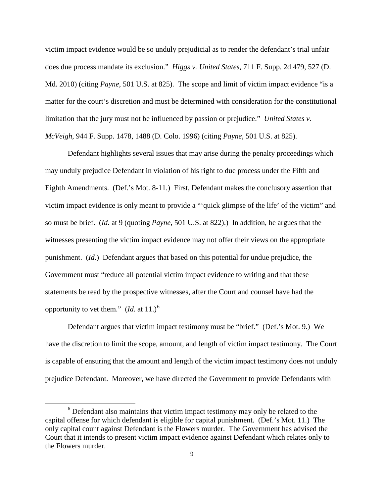victim impact evidence would be so unduly prejudicial as to render the defendant's trial unfair does due process mandate its exclusion." *Higgs v. United States*, 711 F. Supp. 2d 479, 527 (D. Md. 2010) (citing *Payne*, 501 U.S. at 825). The scope and limit of victim impact evidence "is a matter for the court's discretion and must be determined with consideration for the constitutional limitation that the jury must not be influenced by passion or prejudice." *United States v. McVeigh*, 944 F. Supp. 1478, 1488 (D. Colo. 1996) (citing *Payne*, 501 U.S. at 825).

Defendant highlights several issues that may arise during the penalty proceedings which may unduly prejudice Defendant in violation of his right to due process under the Fifth and Eighth Amendments. (Def.'s Mot. 8-11.) First, Defendant makes the conclusory assertion that victim impact evidence is only meant to provide a "'quick glimpse of the life' of the victim" and so must be brief. (*Id*. at 9 (quoting *Payne*, 501 U.S. at 822).) In addition, he argues that the witnesses presenting the victim impact evidence may not offer their views on the appropriate punishment. (*Id.*) Defendant argues that based on this potential for undue prejudice, the Government must "reduce all potential victim impact evidence to writing and that these statements be read by the prospective witnesses, after the Court and counsel have had the opportunity to vet them."  $(Id.$  at 11.)<sup>[6](#page-3-0)</sup>

Defendant argues that victim impact testimony must be "brief." (Def.'s Mot. 9.) We have the discretion to limit the scope, amount, and length of victim impact testimony. The Court is capable of ensuring that the amount and length of the victim impact testimony does not unduly prejudice Defendant. Moreover, we have directed the Government to provide Defendants with

<sup>&</sup>lt;sup>6</sup> Defendant also maintains that victim impact testimony may only be related to the capital offense for which defendant is eligible for capital punishment. (Def.'s Mot. 11.) The only capital count against Defendant is the Flowers murder. The Government has advised the Court that it intends to present victim impact evidence against Defendant which relates only to the Flowers murder.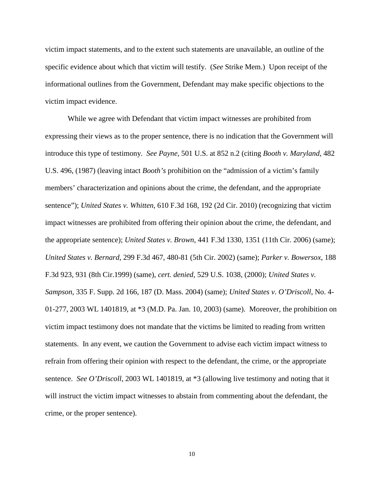victim impact statements, and to the extent such statements are unavailable, an outline of the specific evidence about which that victim will testify. (*See* Strike Mem.) Upon receipt of the informational outlines from the Government, Defendant may make specific objections to the victim impact evidence.

While we agree with Defendant that victim impact witnesses are prohibited from expressing their views as to the proper sentence, there is no indication that the Government will introduce this type of testimony. *See Payne*, 501 U.S. at 852 n.2 (citing *Booth v. Maryland*, 482 U.S. 496, (1987) (leaving intact *Booth's* prohibition on the "admission of a victim's family members' characterization and opinions about the crime, the defendant, and the appropriate sentence"); *United States v. Whitten*, 610 F.3d 168, 192 (2d Cir. 2010) (recognizing that victim impact witnesses are prohibited from offering their opinion about the crime, the defendant, and the appropriate sentence); *United States v. Brown*, 441 F.3d 1330, 1351 (11th Cir. 2006) (same); *United States v. Bernard*, 299 F.3d 467, 480-81 (5th Cir. 2002) (same); *Parker v. Bowersox*, 188 F.3d 923, 931 (8th Cir.1999) (same), *cert. denied*, 529 U.S. 1038, (2000); *United States v. Sampson*, 335 F. Supp. 2d 166, 187 (D. Mass. 2004) (same); *United States v*. *O'Driscoll*, No. 4- 01-277, 2003 WL 1401819, at \*3 (M.D. Pa. Jan. 10, 2003) (same). Moreover, the prohibition on victim impact testimony does not mandate that the victims be limited to reading from written statements. In any event, we caution the Government to advise each victim impact witness to refrain from offering their opinion with respect to the defendant, the crime, or the appropriate sentence. *See O'Driscoll*, 2003 WL 1401819, at \*3 (allowing live testimony and noting that it will instruct the victim impact witnesses to abstain from commenting about the defendant, the crime, or the proper sentence).

10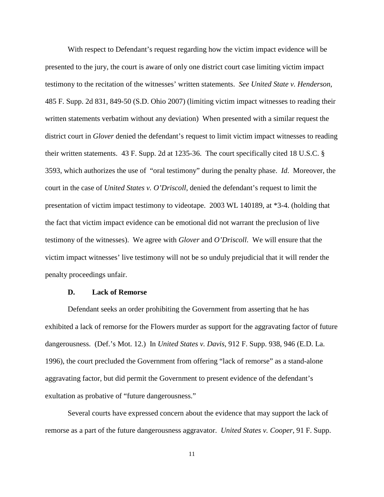With respect to Defendant's request regarding how the victim impact evidence will be presented to the jury, the court is aware of only one district court case limiting victim impact testimony to the recitation of the witnesses' written statements. *See United State v. Henderson*, 485 F. Supp. 2d 831, 849-50 (S.D. Ohio 2007) (limiting victim impact witnesses to reading their written statements verbatim without any deviation) When presented with a similar request the district court in *Glover* denied the defendant's request to limit victim impact witnesses to reading their written statements. 43 F. Supp. 2d at 1235-36. The court specifically cited 18 U.S.C. § 3593, which authorizes the use of "oral testimony" during the penalty phase. *Id*. Moreover, the court in the case of *United States v. O'Driscoll*, denied the defendant's request to limit the presentation of victim impact testimony to videotape. 2003 WL 140189, at \*3-4. (holding that the fact that victim impact evidence can be emotional did not warrant the preclusion of live testimony of the witnesses). We agree with *Glover* and *O'Driscoll*. We will ensure that the victim impact witnesses' live testimony will not be so unduly prejudicial that it will render the penalty proceedings unfair.

#### **D. Lack of Remorse**

Defendant seeks an order prohibiting the Government from asserting that he has exhibited a lack of remorse for the Flowers murder as support for the aggravating factor of future dangerousness. (Def.'s Mot. 12.) In *United States v. Davis*, 912 F. Supp. 938, 946 (E.D. La. 1996), the court precluded the Government from offering "lack of remorse" as a stand-alone aggravating factor, but did permit the Government to present evidence of the defendant's exultation as probative of "future dangerousness."

Several courts have expressed concern about the evidence that may support the lack of remorse as a part of the future dangerousness aggravator. *United States v. Cooper*, 91 F. Supp.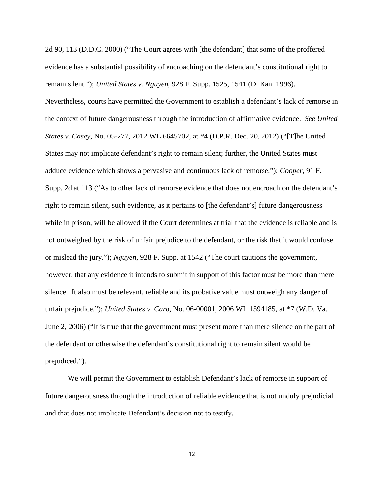2d 90, 113 (D.D.C. 2000) ("The Court agrees with [the defendant] that some of the proffered evidence has a substantial possibility of encroaching on the defendant's constitutional right to remain silent."); *United States v. Nguyen*, 928 F. Supp. 1525, 1541 (D. Kan. 1996).

Nevertheless, courts have permitted the Government to establish a defendant's lack of remorse in the context of future dangerousness through the introduction of affirmative evidence. *See United States v. Casey*, No. 05-277, 2012 WL 6645702, at \*4 (D.P.R. Dec. 20, 2012) ("[T]he United States may not implicate defendant's right to remain silent; further, the United States must adduce evidence which shows a pervasive and continuous lack of remorse."); *Cooper*, 91 F. Supp. 2d at 113 ("As to other lack of remorse evidence that does not encroach on the defendant's right to remain silent, such evidence, as it pertains to [the defendant's] future dangerousness while in prison, will be allowed if the Court determines at trial that the evidence is reliable and is not outweighed by the risk of unfair prejudice to the defendant, or the risk that it would confuse or mislead the jury."); *Nguyen*, 928 F. Supp. at 1542 ("The court cautions the government, however, that any evidence it intends to submit in support of this factor must be more than mere silence. It also must be relevant, reliable and its probative value must outweigh any danger of unfair prejudice."); *United States v. Caro*, No. 06-00001, 2006 WL 1594185, at \*7 (W.D. Va. June 2, 2006) ("It is true that the government must present more than mere silence on the part of the defendant or otherwise the defendant's constitutional right to remain silent would be prejudiced.").

We will permit the Government to establish Defendant's lack of remorse in support of future dangerousness through the introduction of reliable evidence that is not unduly prejudicial and that does not implicate Defendant's decision not to testify.

12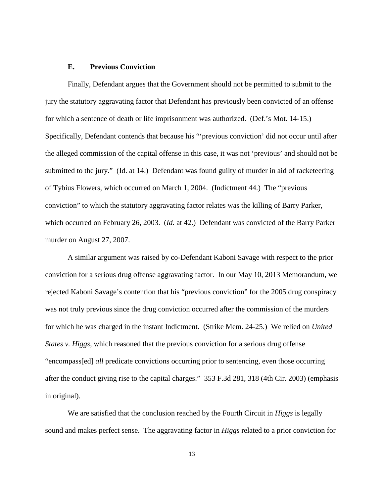#### **E. Previous Conviction**

Finally, Defendant argues that the Government should not be permitted to submit to the jury the statutory aggravating factor that Defendant has previously been convicted of an offense for which a sentence of death or life imprisonment was authorized. (Def.'s Mot. 14-15.) Specifically, Defendant contends that because his "'previous conviction' did not occur until after the alleged commission of the capital offense in this case, it was not 'previous' and should not be submitted to the jury." (Id. at 14.) Defendant was found guilty of murder in aid of racketeering of Tybius Flowers, which occurred on March 1, 2004. (Indictment 44.) The "previous conviction" to which the statutory aggravating factor relates was the killing of Barry Parker, which occurred on February 26, 2003. (*Id.* at 42.) Defendant was convicted of the Barry Parker murder on August 27, 2007.

A similar argument was raised by co-Defendant Kaboni Savage with respect to the prior conviction for a serious drug offense aggravating factor. In our May 10, 2013 Memorandum, we rejected Kaboni Savage's contention that his "previous conviction" for the 2005 drug conspiracy was not truly previous since the drug conviction occurred after the commission of the murders for which he was charged in the instant Indictment. (Strike Mem. 24-25.) We relied on *United States v. Higgs*, which reasoned that the previous conviction for a serious drug offense "encompass[ed] *all* predicate convictions occurring prior to sentencing, even those occurring after the conduct giving rise to the capital charges." 353 F.3d 281, 318 (4th Cir. 2003) (emphasis in original).

We are satisfied that the conclusion reached by the Fourth Circuit in *Higgs* is legally sound and makes perfect sense. The aggravating factor in *Higgs* related to a prior conviction for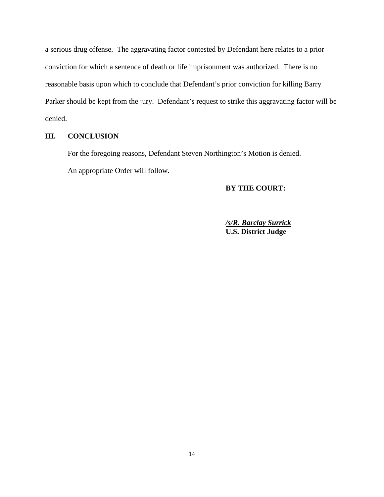a serious drug offense. The aggravating factor contested by Defendant here relates to a prior conviction for which a sentence of death or life imprisonment was authorized. There is no reasonable basis upon which to conclude that Defendant's prior conviction for killing Barry Parker should be kept from the jury. Defendant's request to strike this aggravating factor will be denied.

## **III. CONCLUSION**

<span id="page-13-0"></span>For the foregoing reasons, Defendant Steven Northington's Motion is denied. An appropriate Order will follow.

# **BY THE COURT:**

*/s/R. Barclay Surrick* **U.S. District Judge**